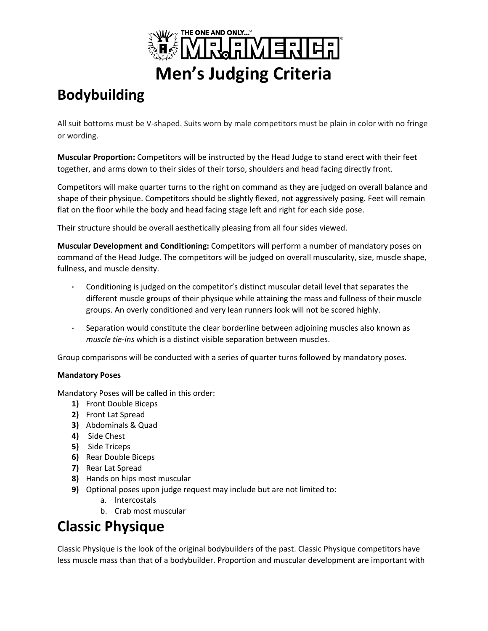

# **Bodybuilding**

All suit bottoms must be V-shaped. Suits worn by male competitors must be plain in color with no fringe or wording.

**Muscular Proportion:** Competitors will be instructed by the Head Judge to stand erect with their feet together, and arms down to their sides of their torso, shoulders and head facing directly front.

Competitors will make quarter turns to the right on command as they are judged on overall balance and shape of their physique. Competitors should be slightly flexed, not aggressively posing. Feet will remain flat on the floor while the body and head facing stage left and right for each side pose.

Their structure should be overall aesthetically pleasing from all four sides viewed.

**Muscular Development and Conditioning:** Competitors will perform a number of mandatory poses on command of the Head Judge. The competitors will be judged on overall muscularity, size, muscle shape, fullness, and muscle density.

- Conditioning is judged on the competitor's distinct muscular detail level that separates the different muscle groups of their physique while attaining the mass and fullness of their muscle groups. An overly conditioned and very lean runners look will not be scored highly.
- Separation would constitute the clear borderline between adjoining muscles also known as *muscle tie-ins* which is a distinct visible separation between muscles.

Group comparisons will be conducted with a series of quarter turns followed by mandatory poses.

#### **Mandatory Poses**

Mandatory Poses will be called in this order:

- **1)** Front Double Biceps
- **2)** Front Lat Spread
- **3)** Abdominals & Quad
- **4)** Side Chest
- **5)** Side Triceps
- **6)** Rear Double Biceps
- **7)** Rear Lat Spread
- **8)** Hands on hips most muscular
- **9)** Optional poses upon judge request may include but are not limited to:
	- a. Intercostals
	- b. Crab most muscular

## **Classic Physique**

Classic Physique is the look of the original bodybuilders of the past. Classic Physique competitors have less muscle mass than that of a bodybuilder. Proportion and muscular development are important with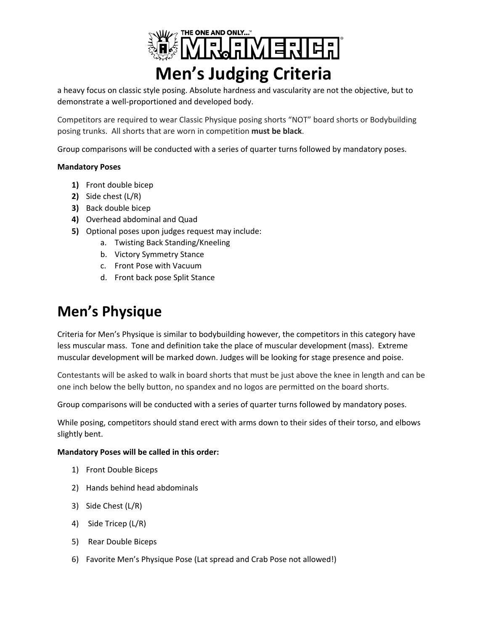

a heavy focus on classic style posing. Absolute hardness and vascularity are not the objective, but to demonstrate a well-proportioned and developed body.

Competitors are required to wear Classic Physique posing shorts "NOT" board shorts or Bodybuilding posing trunks. All shorts that are worn in competition **must be black**.

Group comparisons will be conducted with a series of quarter turns followed by mandatory poses.

#### **Mandatory Poses**

- **1)** Front double bicep
- **2)** Side chest (L/R)
- **3)** Back double bicep
- **4)** Overhead abdominal and Quad
- **5)** Optional poses upon judges request may include:
	- a. Twisting Back Standing/Kneeling
	- b. Victory Symmetry Stance
	- c. Front Pose with Vacuum
	- d. Front back pose Split Stance

### **Men's Physique**

Criteria for Men's Physique is similar to bodybuilding however, the competitors in this category have less muscular mass. Tone and definition take the place of muscular development (mass). Extreme muscular development will be marked down. Judges will be looking for stage presence and poise.

Contestants will be asked to walk in board shorts that must be just above the knee in length and can be one inch below the belly button, no spandex and no logos are permitted on the board shorts.

Group comparisons will be conducted with a series of quarter turns followed by mandatory poses.

While posing, competitors should stand erect with arms down to their sides of their torso, and elbows slightly bent.

#### **Mandatory Poses will be called in this order:**

- 1) Front Double Biceps
- 2) Hands behind head abdominals
- 3) Side Chest (L/R)
- 4) Side Tricep (L/R)
- 5) Rear Double Biceps
- 6) Favorite Men's Physique Pose (Lat spread and Crab Pose not allowed!)